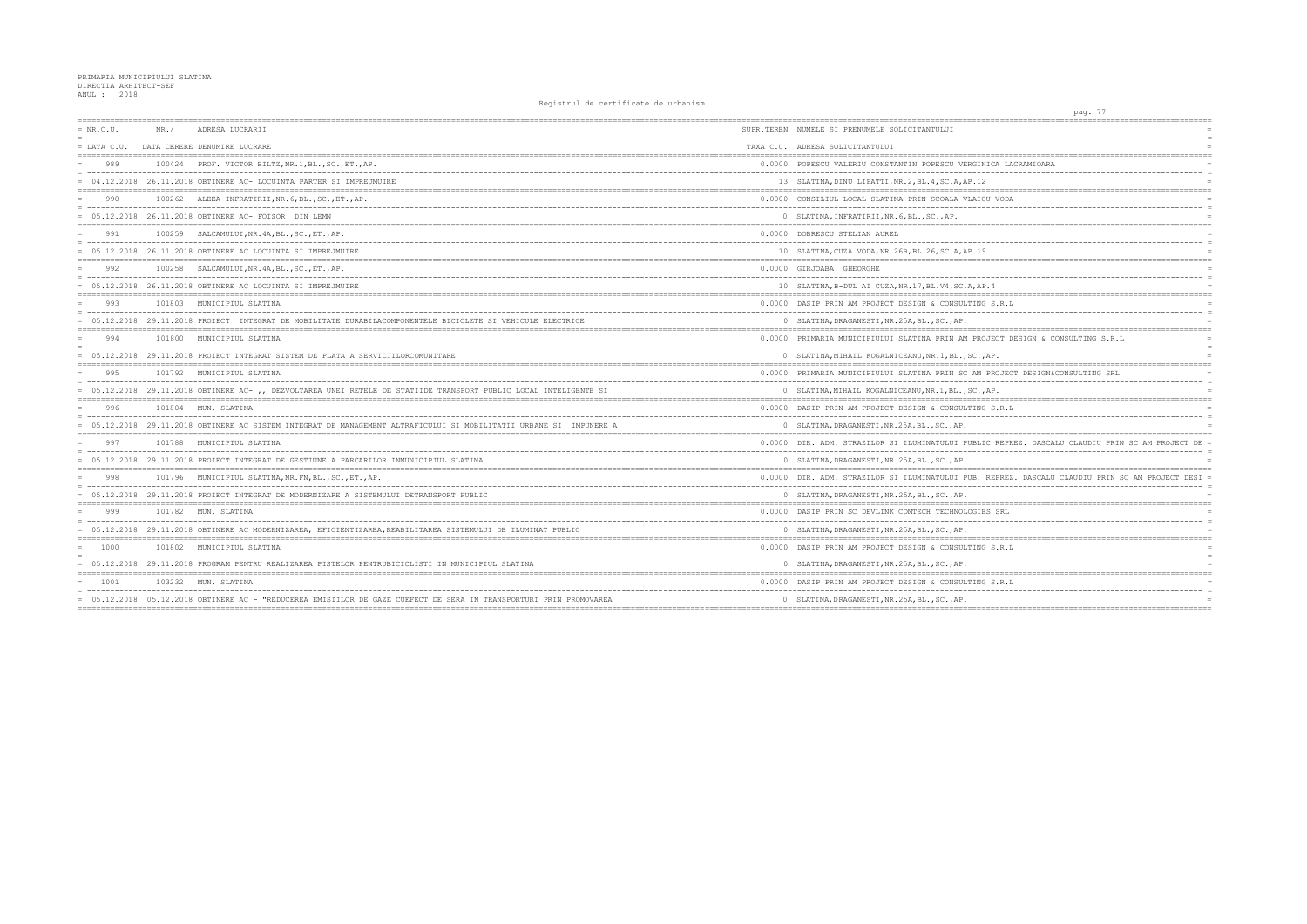| $= NR.C.U.$   | NR. / | ADRESA LUCRARII                                                                                                    | SUPR.TEREN NUMELE SI PRENUMELE SOLICITANTULUI         |
|---------------|-------|--------------------------------------------------------------------------------------------------------------------|-------------------------------------------------------|
| $=$ DATA C.U. |       | DATA CERERE DENUMIRE LUCRARE                                                                                       | TAXA C.U. ADRESA SOLICITANTULUI                       |
| 989           |       | 100424 PROF. VICTOR BILTZ, NR. 1, BL., SC., ET., AP.                                                               | 0.0000 POPESCU VALERIU CONSTANTIN POPESCU VERGIN      |
|               |       | $= 04.12.2018$ 26.11.2018 OBTINERE AC- LOCUINTA PARTER SI IMPREJMUIRE                                              | 13 SLATINA, DINU LIPATTI, NR. 2, BL. 4, SC. A, AP. 12 |
| 990           |       | 100262 ALEEA INFRATIRII, NR. 6, BL., SC., ET., AP.                                                                 | 0.0000 CONSILIUL LOCAL SLATINA PRIN SCOALA VLAIC      |
|               |       | = 05.12.2018 26.11.2018 OBTINERE AC- FOISOR DIN LEMN                                                               | 0 SLATINA, INFRATIRII, NR. 6, BL., SC., AP.           |
| 991           |       | 100259 SALCAMULUI, NR. 4A, BL., SC., ET., AP.                                                                      | 0.0000 DOBRESCU STELIAN AUREL                         |
|               |       | $= 05.12.2018$ 26.11.2018 OBTINERE AC LOCUINTA SI IMPREJMUIRE                                                      | 10 SLATINA, CUZA VODA, NR. 26B, BL. 26, SC. A, AP. 19 |
| 992           |       | 100258 SALCAMULUI, NR. 4A, BL., SC., ET., AP.                                                                      | 0.0000 GIRJOABA GHEORGHE                              |
|               |       | 05.12.2018 26.11.2018 OBTINERE AC LOCUINTA SI IMPREJMUIRE                                                          | 10 SLATINA, B-DUL AI CUZA, NR. 17, BL. V4, SC. A, AP  |
| 993           |       | 101803 MUNICIPIUL SLATINA                                                                                          | 0.0000 DASIP PRIN AM PROJECT DESIGN & CONSULTING      |
|               |       | = 05.12.2018 29.11.2018 PROIECT INTEGRAT DE MOBILITATE DURABILACOMPONENTELE BICICLETE SI VEHICULE ELECTRICE        | 0 SLATINA, DRAGANESTI, NR. 25A, BL., SC., AP.         |
| 994           |       | 101800 MUNICIPIUL SLATINA                                                                                          | 0.0000 PRIMARIA MUNICIPIULUI SLATINA PRIN AM PRO      |
|               |       | = 05.12.2018 29.11.2018 PROIECT INTEGRAT SISTEM DE PLATA A SERVICIILORCOMUNITARE                                   | 0 SLATINA, MIHAIL KOGALNICEANU, NR. 1, BL., SC.,      |
| 995           |       | 101792 MUNICIPIUL SLATINA                                                                                          | 0.0000 PRIMARIA MUNICIPIULUI SLATINA PRIN SC AM       |
|               |       | = 05.12.2018 29.11.2018 OBTINERE AC- ,, DEZVOLTAREA UNEI RETELE DE STATIIDE TRANSPORT PUBLIC LOCAL INTELIGENTE SI  | 0 SLATINA, MIHAIL KOGALNICEANU, NR. 1, BL., SC.,      |
| 996           |       | 101804 MUN. SLATINA                                                                                                | 0.0000 DASIP PRIN AM PROJECT DESIGN & CONSULTING      |
|               |       | = 05.12.2018 29.11.2018 OBTINERE AC SISTEM INTEGRAT DE MANAGEMENT ALTRAFICULUI SI MOBILITATII URBANE SI IMPUNERE A | 0 SLATINA, DRAGANESTI, NR. 25A, BL., SC., AP.         |
| 997           |       | 101788 MUNICIPIUL SLATINA                                                                                          | 0.0000 DIR. ADM. STRAZILOR SI ILUMINATULUI PUBLI      |
|               |       | = 05.12.2018 29.11.2018 PROIECT INTEGRAT DE GESTIUNE A PARCARILOR INMUNICIPIUL SLATINA                             | 0 SLATINA, DRAGANESTI, NR. 25A, BL., SC., AP.         |
| 998           |       | 101796 MUNICIPIUL SLATINA, NR. FN, BL., SC., ET., AP.                                                              | 0.0000 DIR. ADM. STRAZILOR SI ILUMINATULUI PUB.       |
|               |       | = 05.12.2018 29.11.2018 PROIECT INTEGRAT DE MODERNIZARE A SISTEMULUI DETRANSPORT PUBLIC                            | 0 SLATINA, DRAGANESTI, NR. 25A, BL., SC., AP.         |
| 999           |       | 101782 MUN. SLATINA                                                                                                | 0.0000 DASIP PRIN SC DEVLINK COMTECH TECHNOLOGIE      |
|               |       | = 05.12.2018 29.11.2018 OBTINERE AC MODERNIZAREA, EFICIENTIZAREA, REABILITAREA SISTEMULUI DE ILUMINAT PUBLIC       | 0 SLATINA, DRAGANESTI, NR. 25A, BL., SC., AP.         |
| $= 1000$      |       | 101802 MUNICIPIUL SLATINA                                                                                          | 0.0000 DASIP PRIN AM PROJECT DESIGN & CONSULTING      |
|               |       | = 05.12.2018 29.11.2018 PROGRAM PENTRU REALIZAREA PISTELOR PENTRUBICICLISTI IN MUNICIPIUL SLATINA                  | 0 SLATINA, DRAGANESTI, NR. 25A, BL., SC., AP.         |
| 1001          |       | 103232 MUN. SLATINA                                                                                                | 0.0000 DASIP PRIN AM PROJECT DESIGN & CONSULTING      |
|               |       | = 05.12.2018 05.12.2018 OBTINERE AC - "REDUCEREA EMISIILOR DE GAZE CUEFECT DE SERA IN TRANSPORTURI PRIN PROMOVAREA | 0 SLATINA, DRAGANESTI, NR. 25A, BL., SC., AP.         |
|               |       |                                                                                                                    |                                                       |

| pag. 77                                           |            |
|---------------------------------------------------|------------|
|                                                   |            |
|                                                   | $\equiv$   |
|                                                   | $=$        |
|                                                   |            |
| ICA LACRAMIOARA<br>L.                             | $=$        |
|                                                   | $=$<br>$=$ |
|                                                   |            |
| J VODA                                            |            |
|                                                   |            |
|                                                   | $=$        |
|                                                   |            |
|                                                   |            |
|                                                   | $=$        |
|                                                   |            |
|                                                   | $\equiv$   |
| $\cdot$ 4                                         |            |
|                                                   |            |
| S.R.L                                             |            |
| ---------------                                   | $=$        |
|                                                   |            |
| JECT DESIGN & CONSULTING S.R.L                    | $=$        |
| $-$                                               | $=$        |
| AΡ.                                               | $=$        |
| PROJECT DESIGN&CONSULTING SRL                     |            |
|                                                   |            |
| AΡ.                                               | $=$        |
|                                                   |            |
| S.R.L                                             | $\equiv$   |
|                                                   |            |
|                                                   |            |
| C REPREZ. DASCALU CLAUDIU PRIN SC AM PROJECT DE = |            |
|                                                   | $\equiv$   |
|                                                   |            |
| REPREZ. DASCALU CLAUDIU PRIN SC AM PROJECT DESI = |            |
|                                                   |            |
|                                                   | $=$        |
| S SRL                                             |            |
|                                                   | $=$        |
|                                                   |            |
|                                                   |            |
| S.R.L                                             |            |
|                                                   | $=$        |
|                                                   |            |
| S.R.L                                             |            |
|                                                   |            |
|                                                   |            |
|                                                   |            |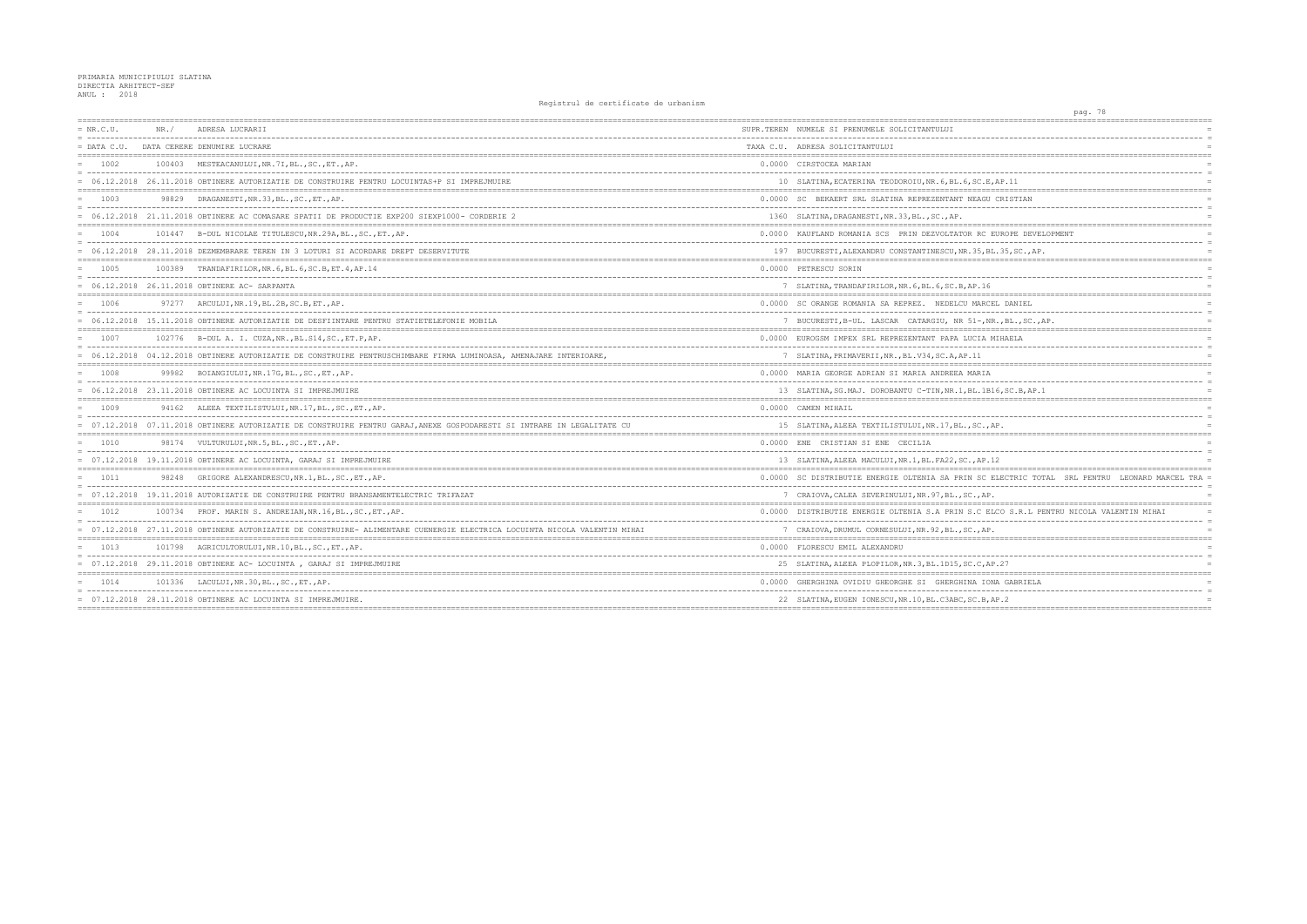| $= NR.C.U.$ | NR. / | ADRESA LUCRARII                                                                                                           | SUPR.TEREN NUMELE SI PRENUMELE SOLICITANTULUI        |
|-------------|-------|---------------------------------------------------------------------------------------------------------------------------|------------------------------------------------------|
| = DATA C.U. |       | DATA CERERE DENUMIRE LUCRARE                                                                                              | TAXA C.U. ADRESA SOLICITANTULUI                      |
| $= 1002$    |       | 100403 MESTEACANULUI, NR. 7I, BL., SC., ET., AP.                                                                          | 0.0000 CIRSTOCEA MARIAN                              |
|             |       | = 06.12.2018 26.11.2018 OBTINERE AUTORIZATIE DE CONSTRUIRE PENTRU LOCUINTAS+P SI IMPREJMUIRE                              | 10 SLATINA, ECATERINA TEODOROIU, NR. 6, BL. 6, SC.   |
| $= 1003$    | 98829 | DRAGANESTI, NR.33, BL., SC., ET., AP.                                                                                     | 0.0000 SC BEKAERT SRL SLATINA REPREZENTANT NEAG      |
|             |       | = 06.12.2018 21.11.2018 OBTINERE AC COMASARE SPATII DE PRODUCTIE EXP200 SIEXP1000- CORDERIE 2                             | 1360 SLATINA, DRAGANESTI, NR. 33, BL., SC., AP.      |
| 1004        |       | 101447 B-DUL NICOLAE TITULESCU, NR. 29A, BL., SC., ET., AP.                                                               | 0.0000 KAUFLAND ROMANIA SCS PRIN DEZVOLTATOR RC      |
|             |       | = 06.12.2018 28.11.2018 DEZMEMBRARE TEREN IN 3 LOTURI SI ACORDARE DREPT DESERVITUTE                                       | 197 BUCURESTI, ALEXANDRU CONSTANTINESCU, NR. 35,     |
| 1005        |       | 100389 TRANDAFIRILOR, NR. 6, BL. 6, SC. B, ET. 4, AP. 14                                                                  | 0.0000 PETRESCU SORIN                                |
|             |       | $= 06.12.2018$ 26.11.2018 OBTINERE AC- SARPANTA                                                                           | 7 SLATINA, TRANDAFIRILOR, NR. 6, BL. 6, SC. B, AP. 1 |
| $= 1006$    |       | 97277 ARCULUI, NR.19, BL.2B, SC.B, ET., AP.                                                                               | 0.0000 SC ORANGE ROMANIA SA REPREZ. NEDELCU MAR      |
|             |       | = 06.12.2018 15.11.2018 OBTINERE AUTORIZATIE DE DESFIINTARE PENTRU STATIETELEFONIE MOBILA                                 | 7 BUCURESTI, B-UL. LASCAR CATARGIU, NR 51-,          |
| 1007        |       | 102776 B-DUL A. I. CUZA, NR., BL. S14, SC., ET. P, AP.                                                                    | 0.0000 EUROGSM IMPEX SRL REPREZENTANT PAPA LUCIA     |
|             |       | = 06.12.2018 04.12.2018 OBTINERE AUTORIZATIE DE CONSTRUIRE PENTRUSCHIMBARE FIRMA LUMINOASA, AMENAJARE INTERIOARE,         | 7 SLATINA, PRIMAVERII, NR., BL.V34, SC.A, AP.11      |
| 1008        |       | 99982 BOIANGIULUI, NR.17G, BL., SC., ET., AP.                                                                             | 0.0000 MARIA GEORGE ADRIAN SI MARIA ANDREEA MARI.    |
|             |       | = 06.12.2018 23.11.2018 OBTINERE AC LOCUINTA SI IMPREJMUIRE                                                               | 13 SLATINA, SG. MAJ. DOROBANTU C-TIN, NR. 1, BL. 11  |
| $= 1009$    |       | 94162 ALEEA TEXTILISTULUI, NR. 17, BL., SC., ET., AP.                                                                     | 0.0000 CAMEN MIHAIL                                  |
|             |       | = 07.12.2018 07.11.2018 OBTINERE AUTORIZATIE DE CONSTRUIRE PENTRU GARAJ, ANEXE GOSPODARESTI SI INTRARE IN LEGALITATE CU   | 15 SLATINA, ALEEA TEXTILISTULUI, NR. 17, BL., SC.    |
| 1010        |       | 98174 VULTURULUI, NR. 5, BL., SC., ET., AP.                                                                               | 0.0000 ENE CRISTIAN SI ENE CECILIA                   |
|             |       | = 07.12.2018 19.11.2018 OBTINERE AC LOCUINTA, GARAJ SI IMPREJMUIRE                                                        | 13 SLATINA, ALEEA MACULUI, NR.1, BL. FA22, SC., AP   |
| 1011        |       | 98248 GRIGORE ALEXANDRESCU, NR.1, BL., SC., ET., AP.                                                                      | 0.0000 SC DISTRIBUTIE ENERGIE OLTENIA SA PRIN SC     |
|             |       | = 07.12.2018 19.11.2018 AUTORIZATIE DE CONSTRUIRE PENTRU BRANSAMENTELECTRIC TRIFAZAT                                      | 7 CRAIOVA, CALEA SEVERINULUI, NR. 97, BL., SC., A    |
| 1012        |       | 100734 PROF. MARIN S. ANDREIAN, NR. 16, BL., SC., ET., AP.                                                                | 0.0000 DISTRIBUTIE ENERGIE OLTENIA S.A PRIN S.C 1    |
|             |       | = 07.12.2018 27.11.2018 OBTINERE AUTORIZATIE DE CONSTRUIRE- ALIMENTARE CUENERGIE ELECTRICA LOCUINTA NICOLA VALENTIN MIHAI | 7 CRAIOVA, DRUMUL CORNESULUI, NR. 92, BL., SC., A    |
| 1013        |       | 101798 AGRICULTORULUI, NR.10, BL., SC., ET., AP.                                                                          | 0.0000 FLORESCU EMIL ALEXANDRU                       |
|             |       | $= 07.12.2018 29.11.2018 $ OBTINERE AC-LOCUINTA, GARAJ SI IMPREJMUIRE                                                     | 25 SLATINA, ALEEA PLOPILOR, NR. 3, BL. 1D15, SC.C.   |
| 1014        |       | 101336 LACULUI, NR.30, BL., SC., ET., AP.                                                                                 | 0.0000 GHERGHINA OVIDIU GHEORGHE SI GHERGHINA I      |
|             |       | = 07.12.2018 28.11.2018 OBTINERE AC LOCUINTA SI IMPREJMUIRE.                                                              | 22 SLATINA, EUGEN IONESCU, NR. 10, BL. C3ABC, SC. B  |
|             |       |                                                                                                                           |                                                      |

| ==========                                           | pag. 78 |            | ===== ============== |                |                                |
|------------------------------------------------------|---------|------------|----------------------|----------------|--------------------------------|
|                                                      |         |            |                      |                |                                |
|                                                      |         |            |                      |                |                                |
| ========<br>-----------------------------            |         |            |                      |                |                                |
|                                                      |         |            |                      |                |                                |
| E, AP.11                                             |         |            |                      |                | $\equiv$                       |
| --------------------------------------<br>J CRISTIAN |         |            |                      |                |                                |
|                                                      |         |            |                      |                | $\equiv$                       |
| -----------------------------                        |         |            |                      |                |                                |
| EUROPE DEVELOPMENT                                   |         |            |                      |                | $=$<br>$\overline{a}$          |
| BL.35, SC., AP.<br>==================                |         |            | -----------------    |                |                                |
|                                                      |         |            |                      |                |                                |
| б                                                    |         |            |                      |                | Ë                              |
| CEL DANIEL                                           |         |            |                      |                | $=$                            |
| -------------<br>$---$<br>NR.,BL.,SC.,AP.            |         |            |                      |                |                                |
| MIHAELA                                              |         |            |                      |                | $=$                            |
|                                                      |         |            |                      |                | $\equiv$<br>$=$                |
|                                                      |         |            |                      |                |                                |
| J                                                    |         |            |                      |                | l,                             |
| 316, SC.B, AP.1                                      |         |            |                      |                |                                |
|                                                      |         |            |                      |                | $\overline{a}$                 |
| AP.                                                  |         |            |                      |                |                                |
|                                                      |         |            |                      |                |                                |
| .12                                                  |         |            |                      |                | $\equiv$                       |
| ELECTRIC TOTAL                                       |         | SRL PENTRU |                      | LEONARD MARCEL | $=$ $=$ $=$<br>$\equiv$<br>TRA |
| Ρ.                                                   |         |            |                      |                | $\equiv$                       |
| ELCO S.R.L PENTRU NICOLA VALENTIN MIHAI              |         |            |                      |                |                                |
| Ρ.                                                   |         |            |                      |                | $\overline{a}$                 |
| ------------------------------------                 |         |            |                      |                |                                |
|                                                      |         |            |                      |                |                                |
| AP.27                                                |         |            |                      |                | $=$                            |
| ONA GABRIELA                                         |         |            |                      |                |                                |
| $-$<br>AP.2                                          |         |            |                      |                | $\equiv$                       |
|                                                      |         |            |                      |                |                                |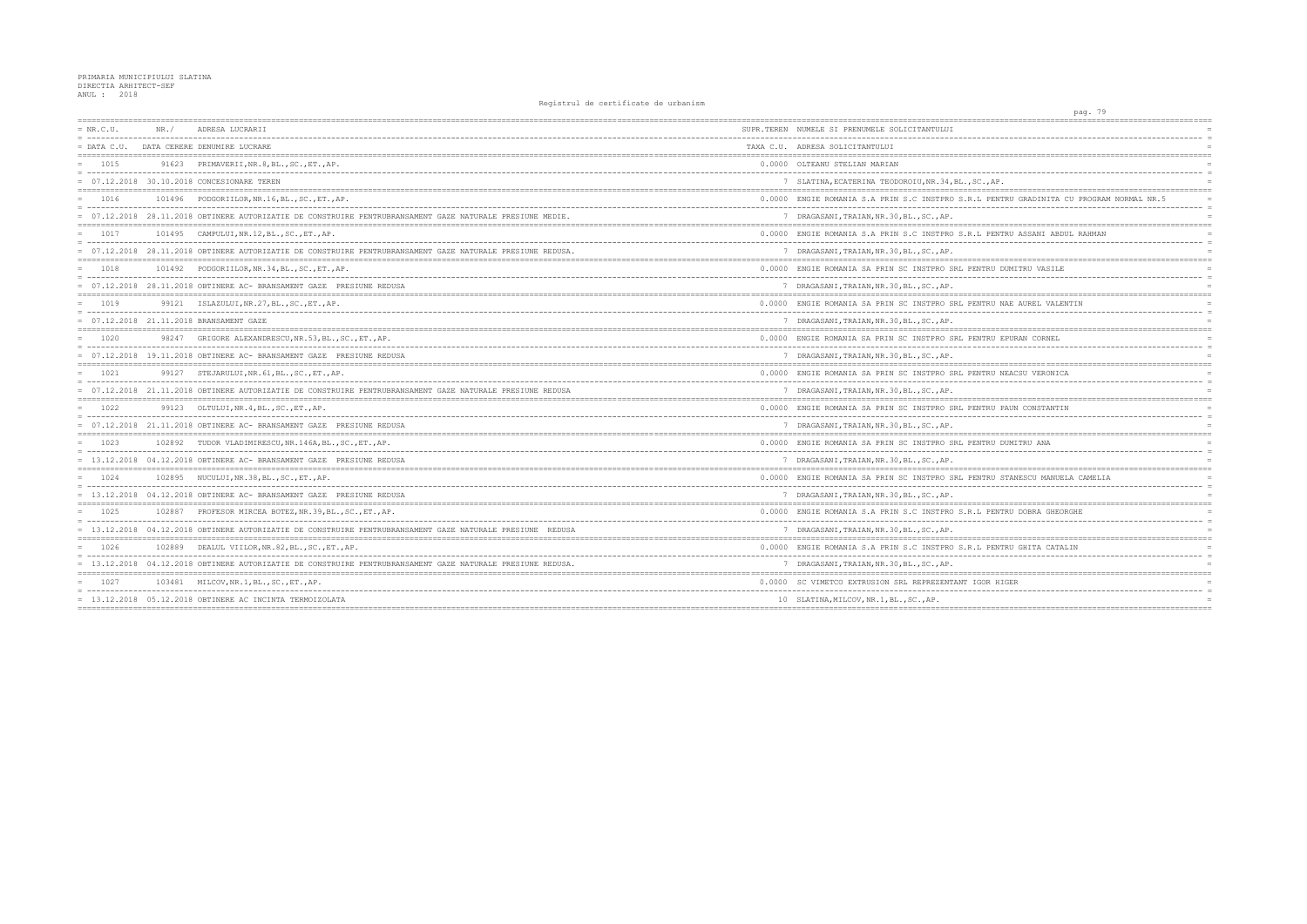## PRIMARIA MUNICIPIULUI SLATINA<br>DIRECTIA ARHITECT-SEF<br>ANUL : 2018

| $= NR.C.U.$     | NR. / | ADRESA LUCRARII                                                                                            | SUPR.TEREN NUMELE SI PRENUMELE SOLICITANTULUI                                       |
|-----------------|-------|------------------------------------------------------------------------------------------------------------|-------------------------------------------------------------------------------------|
| $=$ DATA C.U.   |       | DATA CERERE DENUMIRE LUCRARE                                                                               | TAXA C.U. ADRESA SOLICITANTULUI                                                     |
| $= 1015$        |       | 91623 PRIMAVERII, NR. 8, BL., SC., ET., AP.                                                                | 0.0000 OLTEANU STELIAN MARIAN                                                       |
|                 |       | = 07.12.2018 30.10.2018 CONCESIONARE TEREN                                                                 | 7 SLATINA, ECATERINA TEODOROIU, NR. 34, BL., SC.                                    |
| $= 1016$        |       | 101496 PODGORIILOR, NR.16, BL., SC., ET., AP.                                                              | 0.0000 ENGIE ROMANIA S.A PRIN S.C INSTPRO S.R.L                                     |
|                 |       | = 07.12.2018 28.11.2018 OBTINERE AUTORIZATIE DE CONSTRUIRE PENTRUBRANSAMENT GAZE NATURALE PRESIUNE MEDIE.  | 7 DRAGASANI, TRAIAN, NR. 30, BL., SC., AP.                                          |
| 1017            |       | 101495 CAMPULUI, NR. 12, BL., SC., ET., AP.                                                                | 0.0000 ENGIE ROMANIA S.A PRIN S.C INSTPRO S.R.L                                     |
|                 |       | = 07.12.2018 28.11.2018 OBTINERE AUTORIZATIE DE CONSTRUIRE PENTRUBRANSAMENT GAZE NATURALE PRESIUNE REDUSA. | 7 DRAGASANI, TRAIAN, NR. 30, BL., SC., AP.                                          |
| 1018            |       | 101492 PODGORIILOR, NR.34, BL., SC., ET., AP.                                                              | 0.0000 ENGIE ROMANIA SA PRIN SC INSTPRO SRL PENT                                    |
|                 |       | = 07.12.2018 28.11.2018 OBTINERE AC- BRANSAMENT GAZE PRESIUNE REDUSA                                       | --------------------------------------<br>7 DRAGASANI, TRAIAN, NR.30, BL., SC., AP. |
| $= 1019$        |       | 99121 ISLAZULUI, NR. 27, BL., SC., ET., AP.                                                                | 0.0000 ENGIE ROMANIA SA PRIN SC INSTPRO SRL PENT                                    |
|                 |       | 07.12.2018 21.11.2018 BRANSAMENT GAZE                                                                      | 7 DRAGASANI, TRAIAN, NR. 30, BL., SC., AP.                                          |
| 1020            |       | 98247 GRIGORE ALEXANDRESCU, NR.53, BL., SC., ET., AP.                                                      | 0.0000 ENGIE ROMANIA SA PRIN SC INSTPRO SRL PENT                                    |
|                 |       | = 07.12.2018 19.11.2018 OBTINERE AC- BRANSAMENT GAZE PRESIUNE REDUSA                                       | 7 DRAGASANI, TRAIAN, NR. 30, BL., SC., AP.                                          |
| 1021            | 99127 | STEJARULUI, NR. 61, BL., SC., ET., AP.                                                                     | 0.0000 ENGIE ROMANIA SA PRIN SC INSTPRO SRL PENT                                    |
|                 |       | = 07.12.2018 21.11.2018 OBTINERE AUTORIZATIE DE CONSTRUIRE PENTRUBRANSAMENT GAZE NATURALE PRESIUNE REDUSA  | 7 DRAGASANI, TRAIAN, NR. 30, BL., SC., AP.                                          |
| 1022<br>$=$ $-$ |       | 99123 OLTULUI, NR. 4, BL., SC., ET., AP.                                                                   | 0.0000 ENGIE ROMANIA SA PRIN SC INSTPRO SRL PENT                                    |
|                 |       | = 07.12.2018 21.11.2018 OBTINERE AC- BRANSAMENT GAZE PRESIUNE REDUSA                                       | 7 DRAGASANI, TRAIAN, NR. 30, BL., SC., AP.                                          |
| 1023            |       | 102892 TUDOR VLADIMIRESCU, NR. 146A, BL., SC., ET., AP.                                                    | 0.0000 ENGIE ROMANIA SA PRIN SC INSTPRO SRL PENT                                    |
|                 |       | = 13.12.2018 04.12.2018 OBTINERE AC- BRANSAMENT GAZE PRESIUNE REDUSA                                       | 7 DRAGASANI, TRAIAN, NR. 30, BL., SC., AP.                                          |
| 1024            |       | 102895 NUCULUI, NR.38, BL., SC., ET., AP.                                                                  | 0.0000 ENGIE ROMANIA SA PRIN SC INSTPRO SRL PENT                                    |
|                 |       | = 13.12.2018 04.12.2018 OBTINERE AC- BRANSAMENT GAZE PRESIUNE REDUSA                                       | 7 DRAGASANI, TRAIAN, NR. 30, BL., SC., AP.                                          |
| 1025            |       | 102887 PROFESOR MIRCEA BOTEZ, NR. 39, BL., SC., ET., AP.                                                   | 0.0000 ENGIE ROMANIA S.A PRIN S.C INSTPRO S.R.L                                     |
|                 |       | = 13.12.2018 04.12.2018 OBTINERE AUTORIZATIE DE CONSTRUIRE PENTRUBRANSAMENT GAZE NATURALE PRESIUNE REDUSA  | ------------------------------------<br>7 DRAGASANI, TRAIAN, NR. 30, BL., SC., AP.  |
| 1026            |       | 102889 DEALUL VIILOR, NR. 82, BL., SC., ET., AP.                                                           | 0.0000 ENGIE ROMANIA S.A PRIN S.C INSTPRO S.R.L                                     |
|                 |       | = 13.12.2018 04.12.2018 OBTINERE AUTORIZATIE DE CONSTRUIRE PENTRUBRANSAMENT GAZE NATURALE PRESIUNE REDUSA. | 7 DRAGASANI, TRAIAN, NR. 30, BL., SC., AP.                                          |
| 1027            |       | 103481 MILCOV, NR. 1, BL., SC., ET., AP.                                                                   | 0.0000 SC VIMETCO EXTRUSION SRL REPREZENTANT IGO                                    |
|                 |       | = 13.12.2018 05.12.2018 OBTINERE AC INCINTA TERMOIZOLATA                                                   | 10 SLATINA, MILCOV, NR. 1, BL., SC., AP.                                            |
|                 |       |                                                                                                            |                                                                                     |

| pag. 79                                      |                |
|----------------------------------------------|----------------|
|                                              |                |
| ------------------------                     |                |
|                                              |                |
|                                              |                |
|                                              | $\equiv$       |
| AP.                                          |                |
| PENTRU GRADINITA CU PROGRAM NORMAL NR.5      |                |
|                                              |                |
|                                              | $\equiv$       |
| PENTRU ASSANI ABDUL RAHMAN                   |                |
|                                              | $\equiv$       |
|                                              |                |
|                                              |                |
| RU DUMITRU VASILE                            | $\overline{a}$ |
|                                              |                |
|                                              |                |
| RU NAE AUREL VALENTIN                        |                |
|                                              |                |
|                                              |                |
| RU EPURAN CORNEL                             | $\overline{a}$ |
|                                              |                |
|                                              |                |
| RU NEACSU VERONICA<br>---------------------- | $\equiv$       |
|                                              | $\equiv$       |
|                                              |                |
| RU PAUN CONSTANTIN                           |                |
|                                              |                |
|                                              |                |
| RU DUMITRU ANA                               |                |
|                                              | $\equiv$       |
|                                              |                |
| RU STANESCU MANUELA CAMELIA                  | $\equiv$       |
|                                              | $\equiv$       |
|                                              |                |
| PENTRU DOBRA GHEORGHE                        |                |
|                                              | $\equiv$       |
|                                              |                |
| PENTRU GHITA CATALIN                         |                |
|                                              | $\equiv$       |
|                                              |                |
| R HIGER                                      |                |
|                                              |                |
|                                              |                |
|                                              |                |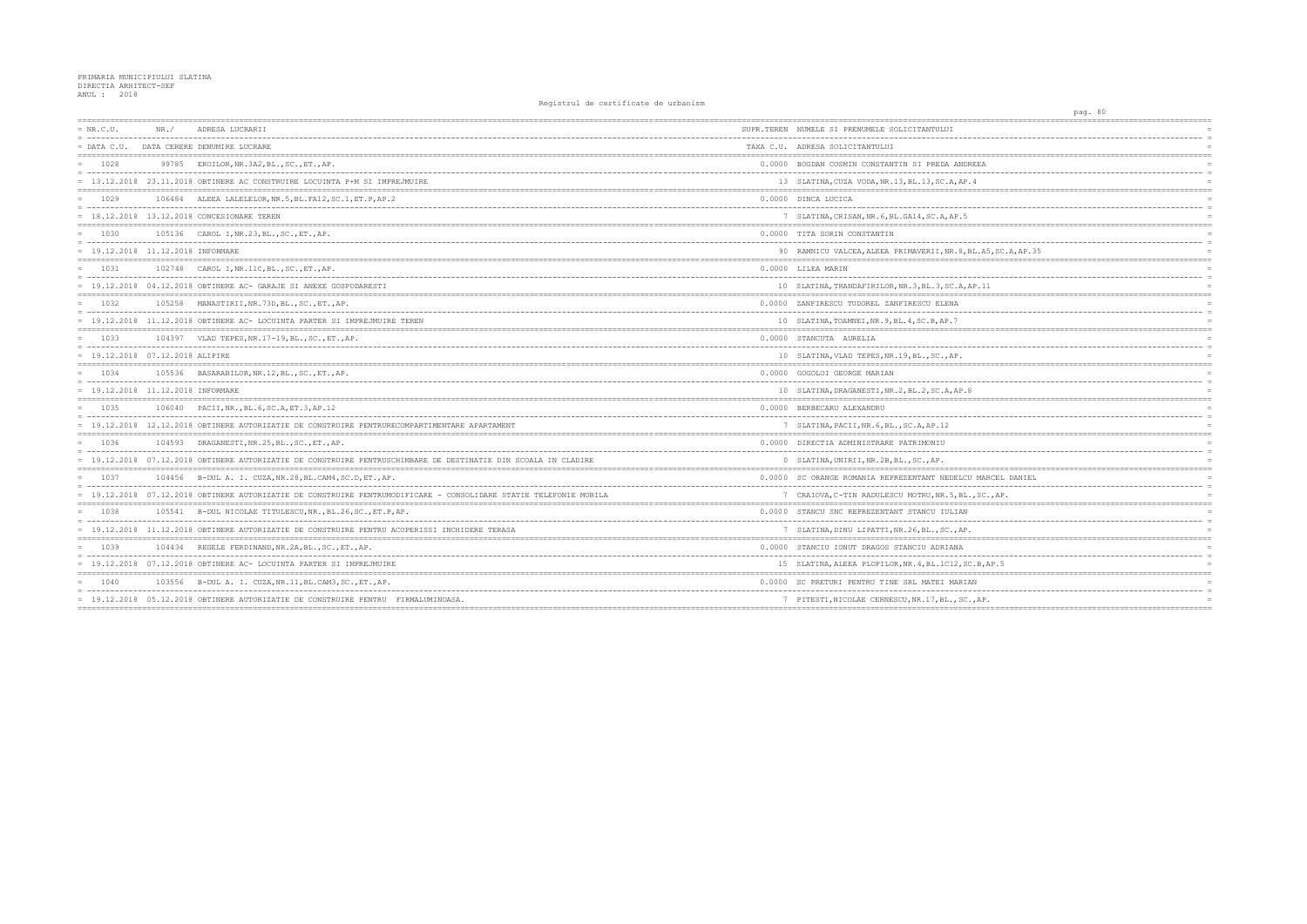| $= NR.C.U.$                         | NR. / | ADRESA LUCRARII<br>--------------------------                                                                     | SUPR.TEREN NUMELE SI PRENUMELE SOLICITANTULUI         |
|-------------------------------------|-------|-------------------------------------------------------------------------------------------------------------------|-------------------------------------------------------|
| $=$ DATA C.U.                       |       | DATA CERERE DENUMIRE LUCRARE                                                                                      | TAXA C.U. ADRESA SOLICITANTULUI                       |
| $= 1028$                            |       | 99785 EROILOR, NR. 3A2, BL., SC., ET., AP.                                                                        | 0.0000 BOGDAN COSMIN CONSTANTIN SI PREDA ANDREEA      |
|                                     |       | = 13.12.2018 23.11.2018 OBTINERE AC CONSTRUIRE LOCUINTA P+M SI IMPREJMUIRE                                        | 13 SLATINA, CUZA VODA, NR. 13, BL. 13, SC. A, AP. 4   |
| $= 1029$                            |       | 106484 ALEEA LALELELOR, NR. 5, BL. FA12, SC. 1, ET. P, AP. 2                                                      | 0.0000 DINCA LUCICA                                   |
|                                     |       | = 18.12.2018 13.12.2018 CONCESIONARE TEREN                                                                        | 7 SLATINA, CRISAN, NR. 6, BL. GA14, SC. A, AP. 5      |
| 1030                                |       | 105136 CAROL I, NR. 23, BL., SC., ET., AP.                                                                        | 0.0000 TITA SORIN CONSTANTIN                          |
| $= 19.12.2018 11.12.2018 INFORMARE$ |       |                                                                                                                   | 90 RAMNICU VALCEA, ALEEA PRIMAVERII, NR. 8, BL. A     |
| 1031                                |       | 102748 CAROL I, NR. 11C, BL., SC., ET., AP.                                                                       | 0.0000 LILEA MARIN                                    |
|                                     |       | $=$ 19.12.2018 04.12.2018 OBTINERE AC- GARAJE SI ANEXE GOSPODARESTI                                               | 10 SLATINA, TRANDAFIRILOR, NR. 3, BL. 3, SC. A, AP. 1 |
| $= 1032$                            |       | 105258 MANASTIRII, NR. 73D, BL., SC., ET., AP.                                                                    | 0.0000 ZANFIRESCU TUDOREL ZANFIRESCU ELENA            |
|                                     |       | 19.12.2018 11.12.2018 OBTINERE AC- LOCUINTA PARTER SI IMPREJMUIRE TEREN                                           | 10 SLATINA, TOAMNEI, NR. 9, BL. 4, SC. B, AP. 7       |
| 1033                                |       | 104397 VLAD TEPES, NR. 17-19, BL., SC., ET., AP.                                                                  | 0.0000 STANCUTA AURELIA                               |
| $= 19.12.2018 07.12.2018 ALIPIRE$   |       |                                                                                                                   | 10 SLATINA, VLAD TEPES, NR. 19, BL., SC., AP.         |
| 1034                                |       | 105536 BASARABILOR, NR.12, BL., SC., ET., AP.                                                                     | 0.0000 GOGOLOI GEORGE MARIAN                          |
| $= 19.12.2018 11.12.2018 INFORMARE$ |       |                                                                                                                   | 10 SLATINA, DRAGANESTI, NR. 2, BL. 2, SC. A, AP. 8    |
| $= 1035$                            |       | 106040 PACII, NR., BL. 6, SC. A, ET. 3, AP. 12                                                                    | 0.0000 BERBECARU ALEXANDRU                            |
| 19.12.2018                          |       | 12.12.2018 OBTINERE AUTORIZATIE DE CONSTRUIRE PENTRURECOMPARTIMENTARE APARTAMENT                                  | 7 SLATINA, PACII, NR. 6, BL., SC. A, AP. 12           |
| 1036                                |       | 104593 DRAGANESTI, NR. 25, BL., SC., ET., AP.                                                                     | 0.0000 DIRECTIA ADMINISTRARE PATRIMONIU               |
|                                     |       | = 19.12.2018 07.12.2018 OBTINERE AUTORIZATIE DE CONSTRUIRE PENTRUSCHIMBARE DE DESTINATIE DIN SCOALA IN CLADIRE    | 0 SLATINA, UNIRII, NR. 2B, BL., SC., AP.              |
| 1037                                |       | 104456 B-DUL A. I. CUZA, NR. 28, BL. CAM4, SC. D, ET., AP.                                                        | 0.0000 SC ORANGE ROMANIA REPREZENTANT NEDELCU MA      |
|                                     |       | = 19.12.2018 07.12.2018 OBTINERE AUTORIZATIE DE CONSTRUIRE PENTRUMODIFICARE - CONSOLIDARE STATIE TELEFONIE MOBILA | 7 CRAIOVA, C-TIN RADULESCU MOTRU, NR. 5, BL., SC      |
| 1038                                |       | 105541 B-DUL NICOLAE TITULESCU, NR., BL.26, SC., ET.P, AP.                                                        | 0.0000 STANCU SNC REPREZENTANT STANCU IULIAN          |
|                                     |       | = 19.12.2018 11.12.2018 OBTINERE AUTORIZATIE DE CONSTRUIRE PENTRU ACOPERISSI INCHIDERE TERASA                     | 7 SLATINA, DINU LIPATTI, NR. 26, BL., SC., AP.        |
| 1039                                |       | 104434 REGELE FERDINAND, NR. 2A, BL., SC., ET., AP.                                                               | 0.0000 STANCIU IONUT DRAGOS STANCIU ADRIANA           |
|                                     |       | = 19.12.2018 07.12.2018 OBTINERE AC- LOCUINTA PARTER SI IMPREJMUIRE                                               | 15 SLATINA, ALEEA PLOPILOR, NR. 4, BL. 1C12, SC.B,    |
| 1040                                |       | 103556 B-DUL A. I. CUZA, NR. 11, BL. CAM3, SC., ET., AP.                                                          | 0.0000 SC PRETURI PENTRU TINE SRL MATEI MARIAN        |
|                                     |       | = 19.12.2018 05.12.2018 OBTINERE AUTORIZATIE DE CONSTRUIRE PENTRU FIRMALUMINOASA.                                 | 7 PITESTI, NICOLAE CERNESCU, NR. 17, BL., SC., AP     |
|                                     |       |                                                                                                                   |                                                       |

| pag. 80                                                      |
|--------------------------------------------------------------|
| ======<br>$=$                                                |
| $=$                                                          |
| $=$                                                          |
| ======<br>=========<br>$=$                                   |
| $=$                                                          |
| $=$<br>======<br>========================<br>$= 222$         |
| $=$                                                          |
| $\equiv$<br>$=$                                              |
| $=$ $=$ $=$ $=$<br>=======                                   |
| $=$<br>$=$                                                   |
| 5, SC.A, AP.35<br>$=$                                        |
| ==================<br>========<br>$=$                        |
| $=$                                                          |
| Ĺ<br>$\equiv$                                                |
| $=$                                                          |
| $=$                                                          |
| $=$<br>$=$ $=$ $=$<br>$:= =$                                 |
| $=$                                                          |
| $=$<br>$=$                                                   |
| <b>======</b><br>$= - - 1$<br>:=================             |
| $=$<br>$=$                                                   |
| $=$                                                          |
| ======<br>======<br>-----                                    |
| $\equiv$                                                     |
| $=$                                                          |
| $=$                                                          |
| $\equiv$<br>$=$                                              |
| ;==== <i>====================</i> ===<br>----------          |
| <b>RCEL DANIEL</b><br>$=$<br>$\overline{\phantom{a}}$<br>$=$ |
| $,$ $\sf AP$ .<br>$=$                                        |
| ========<br>======<br>$=$                                    |
| $=$                                                          |
| $=$<br>========<br>------------------------------            |
| $=$ $=$ $=$ $=$<br>$=$                                       |
| $=$                                                          |
| AP.5<br>$=$<br>$=$ $=$ $=$ $=$ $=$<br>:=========             |
| $=$                                                          |
| $=$                                                          |
|                                                              |